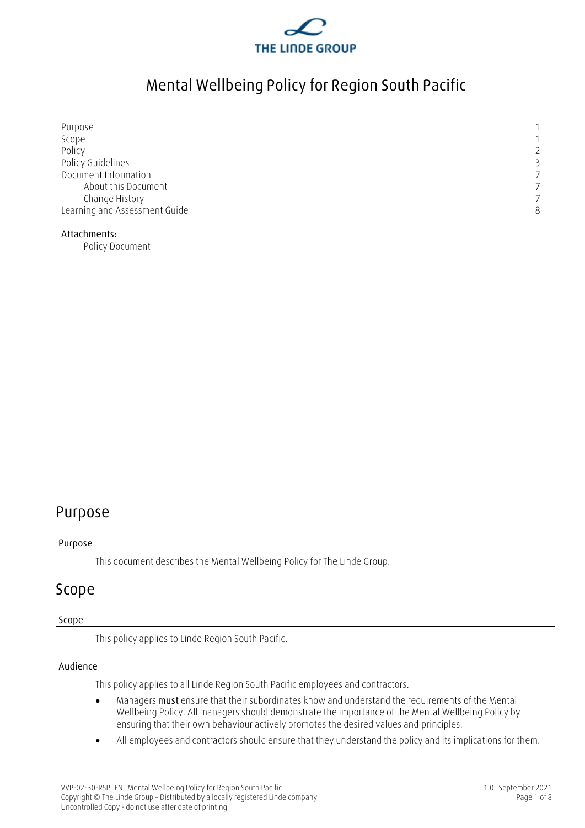

# **Mental Wellbeing Policy for Region South Pacific**

| Purpose                       |                |
|-------------------------------|----------------|
| Scope                         |                |
| Policy                        | $\overline{2}$ |
| Policy Guidelines             | ر              |
| Document Information          |                |
| About this Document           |                |
| Change History                |                |
| Learning and Assessment Guide | 8              |
|                               |                |

#### **Attachments:**

Policy Document

### **Purpose**

#### **Purpose**

This document describes the Mental Wellbeing Policy for The Linde Group.

### **Scope**

#### **Scope**

This policy applies to Linde Region South Pacific.

#### **Audience**

This policy applies to all Linde Region South Pacific employees and contractors.

- Managers **must** ensure that their subordinates know and understand the requirements of the Mental Wellbeing Policy. All managers should demonstrate the importance of the Mental Wellbeing Policy by ensuring that their own behaviour actively promotes the desired values and principles.
- All employees and contractors should ensure that they understand the policy and its implications for them.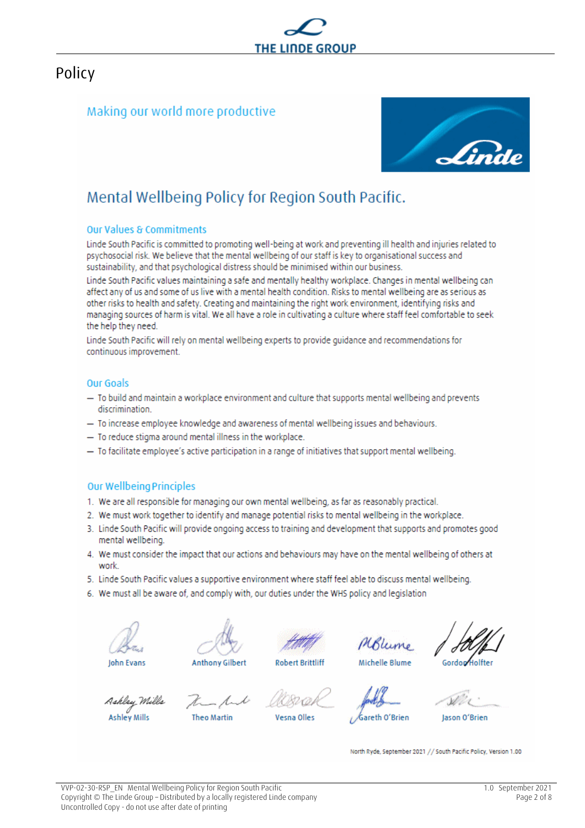

### **Policy**

### Making our world more productive



## Mental Wellbeing Policy for Region South Pacific.

#### **Our Values & Commitments**

Linde South Pacific is committed to promoting well-being at work and preventing ill health and injuries related to psychosocial risk. We believe that the mental wellbeing of our staff is key to organisational success and sustainability, and that psychological distress should be minimised within our business.

Linde South Pacific values maintaining a safe and mentally healthy workplace. Changes in mental wellbeing can affect any of us and some of us live with a mental health condition. Risks to mental wellbeing are as serious as other risks to health and safety. Creating and maintaining the right work environment, identifying risks and managing sources of harm is vital. We all have a role in cultivating a culture where staff feel comfortable to seek the help they need.

Linde South Pacific will rely on mental wellbeing experts to provide quidance and recommendations for continuous improvement.

#### Our Goals

- To build and maintain a workplace environment and culture that supports mental wellbeing and prevents discrimination.
- To increase employee knowledge and awareness of mental wellbeing issues and behaviours.
- To reduce stigma around mental illness in the workplace.
- To facilitate employee's active participation in a range of initiatives that support mental wellbeing.

### **Our Wellbeing Principles**

- 1. We are all responsible for managing our own mental wellbeing, as far as reasonably practical.
- 2. We must work together to identify and manage potential risks to mental wellbeing in the workplace.
- 3. Linde South Pacific will provide ongoing access to training and development that supports and promotes good mental wellbeing.
- 4. We must consider the impact that our actions and behaviours may have on the mental wellbeing of others at work
- 5. Linde South Pacific values a supportive environment where staff feel able to discuss mental wellbeing.
- 6. We must all be aware of, and comply with, our duties under the WHS policy and legislation







sna Olles



Gordon Holfter

Ashlay Mills **Ashley Mills** 

**Anthony Gilbert** 

Theo Martin

**Robert Brittliff** 

Gareth O'Brien

lason O'Brien

North Ryde, September 2021 // South Pacific Policy, Version 1.00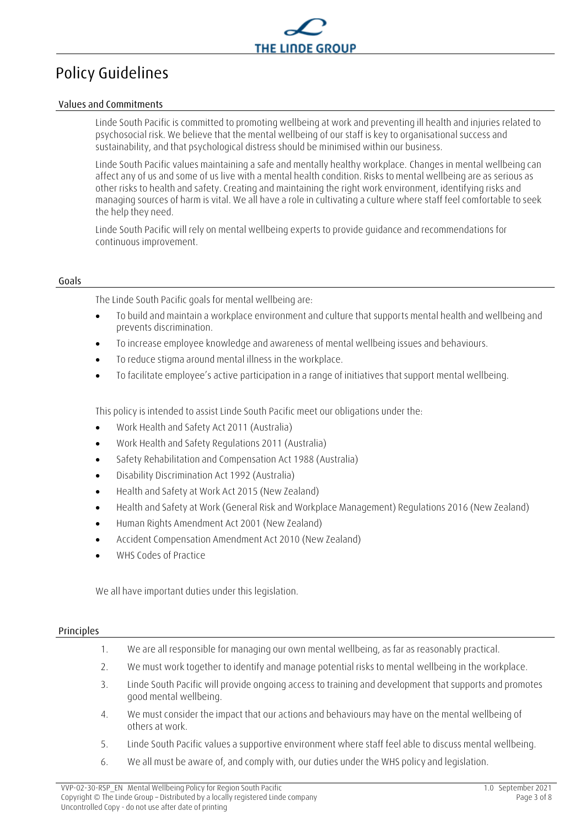

# **Policy Guidelines**

#### **Values and Commitments**

Linde South Pacific is committed to promoting wellbeing at work and preventing ill health and injuries related to psychosocial risk. We believe that the mental wellbeing of our staff is key to organisational success and sustainability, and that psychological distress should be minimised within our business.

Linde South Pacific values maintaining a safe and mentally healthy workplace. Changes in mental wellbeing can affect any of us and some of us live with a mental health condition. Risks to mental wellbeing are as serious as other risks to health and safety. Creating and maintaining the right work environment, identifying risks and managing sources of harm is vital. We all have a role in cultivating a culture where staff feel comfortable to seek the help they need.

Linde South Pacific will rely on mental wellbeing experts to provide guidance and recommendations for continuous improvement.

#### **Goals**

The Linde South Pacific goals for mental wellbeing are:

- To build and maintain a workplace environment and culture that supports mental health and wellbeing and prevents discrimination.
- To increase employee knowledge and awareness of mental wellbeing issues and behaviours.
- To reduce stigma around mental illness in the workplace.
- To facilitate employee's active participation in a range of initiatives that support mental wellbeing.

This policy is intended to assist Linde South Pacific meet our obligations under the:

- Work Health and Safety Act 2011 (Australia)
- Work Health and Safety Regulations 2011 (Australia)
- Safety Rehabilitation and Compensation Act 1988 (Australia)
- Disability Discrimination Act 1992 (Australia)
- Health and Safety at Work Act 2015 (New Zealand)
- Health and Safety at Work (General Risk and Workplace Management) Regulations 2016 (New Zealand)
- Human Rights Amendment Act 2001 (New Zealand)
- Accident Compensation Amendment Act 2010 (New Zealand)
- WHS Codes of Practice

We all have important duties under this legislation.

#### **Principles**

- 1. We are all responsible for managing our own mental wellbeing, as far as reasonably practical.
- 2. We must work together to identify and manage potential risks to mental wellbeing in the workplace.
- 3. Linde South Pacific will provide ongoing access to training and development that supports and promotes good mental wellbeing.
- 4. We must consider the impact that our actions and behaviours may have on the mental wellbeing of others at work.
- 5. Linde South Pacific values a supportive environment where staff feel able to discuss mental wellbeing.
- 6. We all must be aware of, and comply with, our duties under the WHS policy and legislation.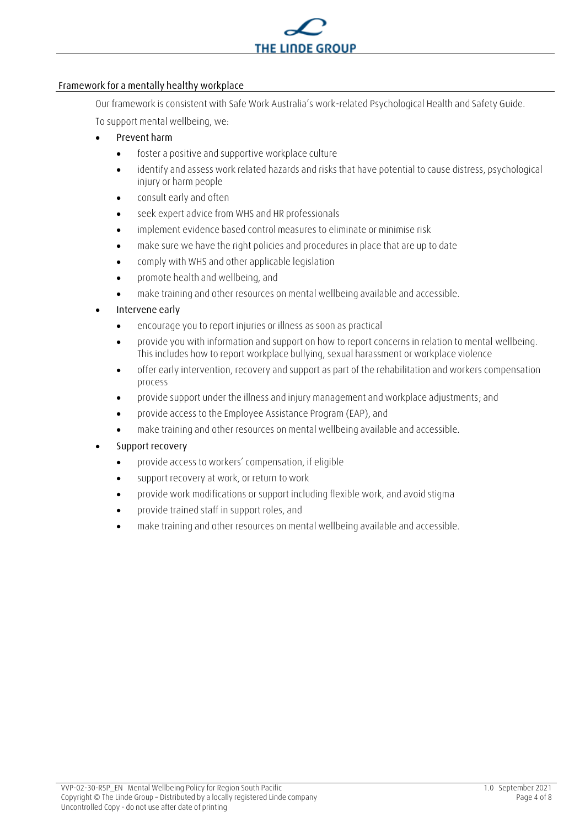

#### **Framework for a mentally healthy workplace**

Our framework is consistent with Safe Work Australia's work-related Psychological Health and Safety Guide.

To support mental wellbeing, we:

- **Prevent harm**
	- foster a positive and supportive workplace culture
	- identify and assess work related hazards and risks that have potential to cause distress, psychological injury or harm people
	- consult early and often
	- seek expert advice from WHS and HR professionals
	- implement evidence based control measures to eliminate or minimise risk
	- make sure we have the right policies and procedures in place that are up to date
	- comply with WHS and other applicable legislation
	- promote health and wellbeing, and
	- make training and other resources on mental wellbeing available and accessible.

### • **Intervene early**

- encourage you to report injuries or illness as soon as practical
- provide you with information and support on how to report concerns in relation to mental wellbeing. This includes how to report workplace bullying, sexual harassment or workplace violence
- offer early intervention, recovery and support as part of the rehabilitation and workers compensation process
- provide support under the illness and injury management and workplace adjustments; and
- provide access to the Employee Assistance Program (EAP), and
- make training and other resources on mental wellbeing available and accessible.

### • **Support recovery**

- provide access to workers' compensation, if eligible
- support recovery at work, or return to work
- provide work modifications or support including flexible work, and avoid stigma
- provide trained staff in support roles, and
- make training and other resources on mental wellbeing available and accessible.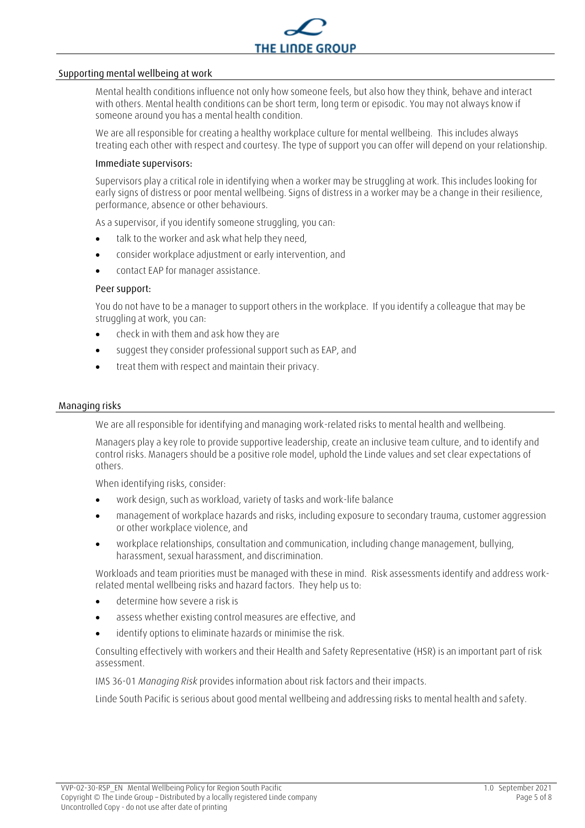

#### **Supporting mental wellbeing at work**

Mental health conditions influence not only how someone feels, but also how they think, behave and interact with others. Mental health conditions can be short term, long term or episodic. You may not always know if someone around you has a mental health condition.

We are all responsible for creating a healthy workplace culture for mental wellbeing. This includes always treating each other with respect and courtesy. The type of support you can offer will depend on your relationship.

#### **Immediate supervisors:**

Supervisors play a critical role in identifying when a worker may be struggling at work. This includes looking for early signs of distress or poor mental wellbeing. Signs of distress in a worker may be a change in their resilience, performance, absence or other behaviours.

As a supervisor, if you identify someone struggling, you can:

- talk to the worker and ask what help they need,
- consider workplace adjustment or early intervention, and
- contact EAP for manager assistance.

#### **Peer support:**

You do not have to be a manager to support others in the workplace. If you identify a colleague that may be struggling at work, you can:

- check in with them and ask how they are
- suggest they consider professional support such as EAP, and
- treat them with respect and maintain their privacy.

#### **Managing risks**

We are all responsible for identifying and managing work-related risks to mental health and wellbeing.

Managers play a key role to provide supportive leadership, create an inclusive team culture, and to identify and control risks. Managers should be a positive role model, uphold the Linde values and set clear expectations of others.

When identifying risks, consider:

- work design, such as workload, variety of tasks and work-life balance
- management of workplace hazards and risks, including exposure to secondary trauma, customer aggression or other workplace violence, and
- workplace relationships, consultation and communication, including change management, bullying, harassment, sexual harassment, and discrimination.

Workloads and team priorities must be managed with these in mind. Risk assessments identify and address workrelated mental wellbeing risks and hazard factors. They help us to:

- determine how severe a risk is
- assess whether existing control measures are effective, and
- identify options to eliminate hazards or minimise the risk.

Consulting effectively with workers and their Health and Safety Representative (HSR) is an important part of risk assessment.

IMS 36-01 *Managing Risk* provides information about risk factors and their impacts.

Linde South Pacific is serious about good mental wellbeing and addressing risks to mental health and safety.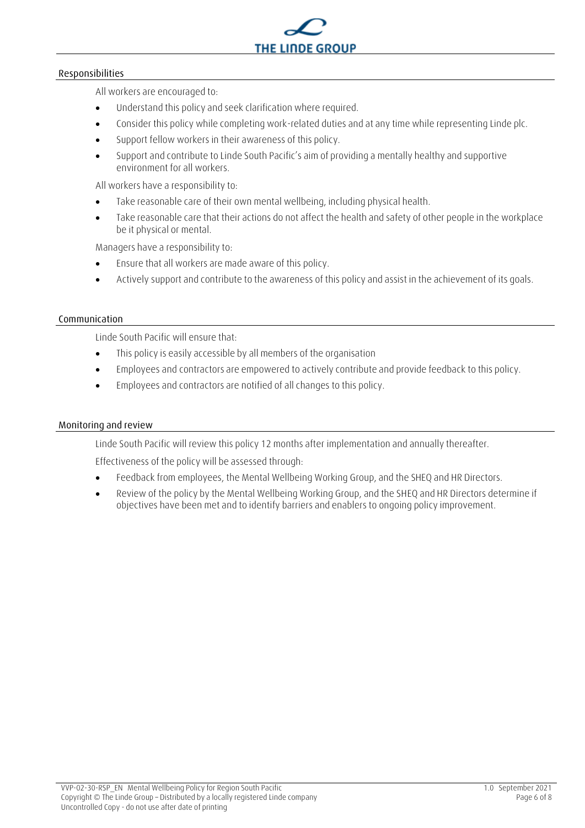

#### **Responsibilities**

All workers are encouraged to:

- Understand this policy and seek clarification where required.
- Consider this policy while completing work-related duties and at any time while representing Linde plc.
- Support fellow workers in their awareness of this policy.
- Support and contribute to Linde South Pacific's aim of providing a mentally healthy and supportive environment for all workers.

All workers have a responsibility to:

- Take reasonable care of their own mental wellbeing, including physical health.
- Take reasonable care that their actions do not affect the health and safety of other people in the workplace be it physical or mental.

Managers have a responsibility to:

- Ensure that all workers are made aware of this policy.
- Actively support and contribute to the awareness of this policy and assist in the achievement of its goals.

#### **Communication**

Linde South Pacific will ensure that:

- This policy is easily accessible by all members of the organisation
- Employees and contractors are empowered to actively contribute and provide feedback to this policy.
- Employees and contractors are notified of all changes to this policy.

#### **Monitoring and review**

Linde South Pacific will review this policy 12 months after implementation and annually thereafter.

Effectiveness of the policy will be assessed through:

- Feedback from employees, the Mental Wellbeing Working Group, and the SHEQ and HR Directors.
- Review of the policy by the Mental Wellbeing Working Group, and the SHEQ and HR Directors determine if objectives have been met and to identify barriers and enablers to ongoing policy improvement.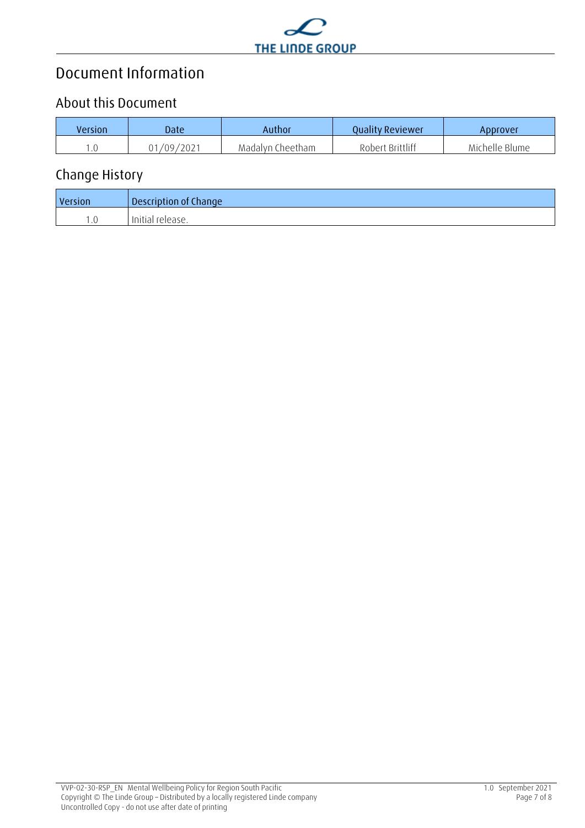

# **Document Information**

### **About this Document**

| Version | Date       | Author           | <b>Ouality Reviewer</b> | ADDrover       |
|---------|------------|------------------|-------------------------|----------------|
|         | 01/09/2021 | Madalyn Cheetham | Robert Brittliff        | Michelle Blume |

### **Change History**

| Version | Description of Change |
|---------|-----------------------|
|         | Initial release.      |